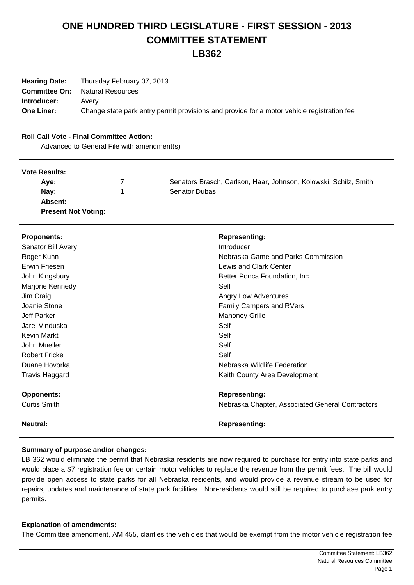# **ONE HUNDRED THIRD LEGISLATURE - FIRST SESSION - 2013 COMMITTEE STATEMENT**

**LB362**

| <b>Hearing Date:</b> | Thursday February 07, 2013                                                                 |
|----------------------|--------------------------------------------------------------------------------------------|
| <b>Committee On:</b> | <b>Natural Resources</b>                                                                   |
| Introducer:          | Avery                                                                                      |
| <b>One Liner:</b>    | Change state park entry permit provisions and provide for a motor vehicle registration fee |

## **Roll Call Vote - Final Committee Action:**

Advanced to General File with amendment(s)

#### **Vote Results:**

| Ave:                       | Senators Brasch, Carlson, Haar, Johnson, Kolowski, Schilz, Smith |
|----------------------------|------------------------------------------------------------------|
| Nav:                       | <b>Senator Dubas</b>                                             |
| Absent:                    |                                                                  |
| <b>Present Not Voting:</b> |                                                                  |

| <b>Proponents:</b>   | <b>Representing:</b>                             |
|----------------------|--------------------------------------------------|
| Senator Bill Avery   | Introducer                                       |
| Roger Kuhn           | Nebraska Game and Parks Commission               |
| Erwin Friesen        | <b>Lewis and Clark Center</b>                    |
| John Kingsbury       | Better Ponca Foundation, Inc.                    |
| Marjorie Kennedy     | Self                                             |
| Jim Craig            | Angry Low Adventures                             |
| Joanie Stone         | <b>Family Campers and RVers</b>                  |
| <b>Jeff Parker</b>   | <b>Mahoney Grille</b>                            |
| Jarel Vinduska       | Self                                             |
| <b>Kevin Markt</b>   | Self                                             |
| John Mueller         | Self                                             |
| <b>Robert Fricke</b> | Self                                             |
| Duane Hovorka        | Nebraska Wildlife Federation                     |
| Travis Haggard       | Keith County Area Development                    |
| <b>Opponents:</b>    | <b>Representing:</b>                             |
| <b>Curtis Smith</b>  | Nebraska Chapter, Associated General Contractors |
| <b>Neutral:</b>      | <b>Representing:</b>                             |

## **Summary of purpose and/or changes:**

LB 362 would eliminate the permit that Nebraska residents are now required to purchase for entry into state parks and would place a \$7 registration fee on certain motor vehicles to replace the revenue from the permit fees. The bill would provide open access to state parks for all Nebraska residents, and would provide a revenue stream to be used for repairs, updates and maintenance of state park facilities. Non-residents would still be required to purchase park entry permits.

## **Explanation of amendments:**

The Committee amendment, AM 455, clarifies the vehicles that would be exempt from the motor vehicle registration fee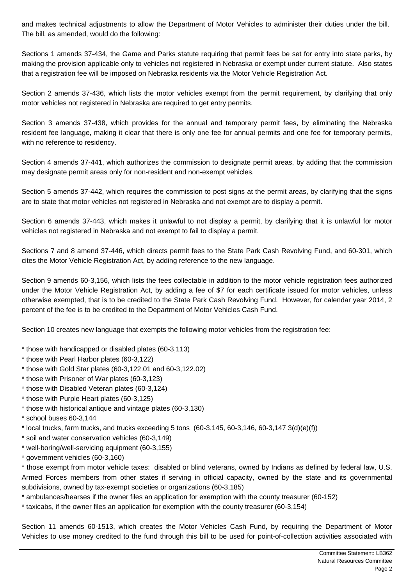and makes technical adjustments to allow the Department of Motor Vehicles to administer their duties under the bill. The bill, as amended, would do the following:

Sections 1 amends 37-434, the Game and Parks statute requiring that permit fees be set for entry into state parks, by making the provision applicable only to vehicles not registered in Nebraska or exempt under current statute. Also states that a registration fee will be imposed on Nebraska residents via the Motor Vehicle Registration Act.

Section 2 amends 37-436, which lists the motor vehicles exempt from the permit requirement, by clarifying that only motor vehicles not registered in Nebraska are required to get entry permits.

Section 3 amends 37-438, which provides for the annual and temporary permit fees, by eliminating the Nebraska resident fee language, making it clear that there is only one fee for annual permits and one fee for temporary permits, with no reference to residency.

Section 4 amends 37-441, which authorizes the commission to designate permit areas, by adding that the commission may designate permit areas only for non-resident and non-exempt vehicles.

Section 5 amends 37-442, which requires the commission to post signs at the permit areas, by clarifying that the signs are to state that motor vehicles not registered in Nebraska and not exempt are to display a permit.

Section 6 amends 37-443, which makes it unlawful to not display a permit, by clarifying that it is unlawful for motor vehicles not registered in Nebraska and not exempt to fail to display a permit.

Sections 7 and 8 amend 37-446, which directs permit fees to the State Park Cash Revolving Fund, and 60-301, which cites the Motor Vehicle Registration Act, by adding reference to the new language.

Section 9 amends 60-3,156, which lists the fees collectable in addition to the motor vehicle registration fees authorized under the Motor Vehicle Registration Act, by adding a fee of \$7 for each certificate issued for motor vehicles, unless otherwise exempted, that is to be credited to the State Park Cash Revolving Fund. However, for calendar year 2014, 2 percent of the fee is to be credited to the Department of Motor Vehicles Cash Fund.

Section 10 creates new language that exempts the following motor vehicles from the registration fee:

- \* those with handicapped or disabled plates (60-3,113)
- \* those with Pearl Harbor plates (60-3,122)
- \* those with Gold Star plates (60-3,122.01 and 60-3,122.02)
- \* those with Prisoner of War plates (60-3,123)
- \* those with Disabled Veteran plates (60-3,124)
- \* those with Purple Heart plates (60-3,125)
- \* those with historical antique and vintage plates (60-3,130)
- \* school buses 60-3,144
- $*$  local trucks, farm trucks, and trucks exceeding 5 tons (60-3,145, 60-3,146, 60-3,147 3(d)(e)(f))
- \* soil and water conservation vehicles (60-3,149)
- \* well-boring/well-servicing equipment (60-3,155)
- \* government vehicles (60-3,160)

\* those exempt from motor vehicle taxes: disabled or blind veterans, owned by Indians as defined by federal law, U.S. Armed Forces members from other states if serving in official capacity, owned by the state and its governmental subdivisions, owned by tax-exempt societies or organizations (60-3,185)

\* ambulances/hearses if the owner files an application for exemption with the county treasurer (60-152)

\* taxicabs, if the owner files an application for exemption with the county treasurer (60-3,154)

Section 11 amends 60-1513, which creates the Motor Vehicles Cash Fund, by requiring the Department of Motor Vehicles to use money credited to the fund through this bill to be used for point-of-collection activities associated with